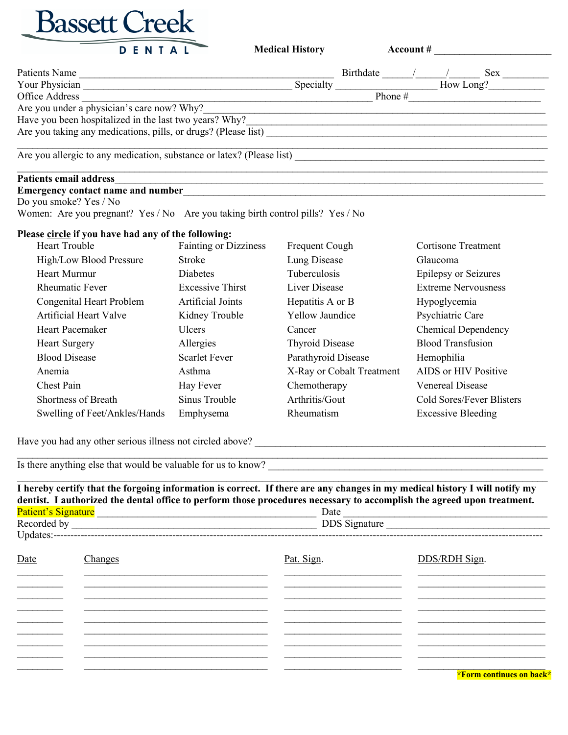

**Medical History** Account #

| Patients Name                                                         |           | Birthdate | <b>Sex</b> |
|-----------------------------------------------------------------------|-----------|-----------|------------|
| Your Physician                                                        | Specialty |           | How Long?  |
| Office Address                                                        |           | Phone #   |            |
| Are you under a physician's care now? Why?                            |           |           |            |
| Have you been hospitalized in the last two years? Why?                |           |           |            |
| Are you taking any medications, pills, or drugs? (Please list)        |           |           |            |
| Are you allergic to any medication, substance or latex? (Please list) |           |           |            |
| <b>Patients email address</b>                                         |           |           |            |
| <b>Emergency contact name and number</b>                              |           |           |            |

Do you smoke? Yes / No

Women: Are you pregnant? Yes / No Are you taking birth control pills? Yes / No

## **Please circle if you have had any of the following:**

| <b>Heart Trouble</b>          | <b>Fainting or Dizziness</b> | Frequent Cough            | <b>Cortisone Treatment</b> |
|-------------------------------|------------------------------|---------------------------|----------------------------|
| High/Low Blood Pressure       | Stroke                       | Lung Disease              | <b>Glaucoma</b>            |
| Heart Murmur                  | <b>Diabetes</b>              | Tuberculosis              | Epilepsy or Seizures       |
| <b>Rheumatic Fever</b>        | <b>Excessive Thirst</b>      | Liver Disease             | <b>Extreme Nervousness</b> |
| Congenital Heart Problem      | Artificial Joints            | Hepatitis A or B          | Hypoglycemia               |
| <b>Artificial Heart Valve</b> | Kidney Trouble               | <b>Yellow Jaundice</b>    | Psychiatric Care           |
| Heart Pacemaker               | Ulcers                       | Cancer                    | <b>Chemical Dependency</b> |
| <b>Heart Surgery</b>          | Allergies                    | <b>Thyroid Disease</b>    | <b>Blood Transfusion</b>   |
| <b>Blood Disease</b>          | <b>Scarlet Fever</b>         | Parathyroid Disease       | Hemophilia                 |
| Anemia                        | Asthma                       | X-Ray or Cobalt Treatment | AIDS or HIV Positive       |
| Chest Pain                    | Hay Fever                    | Chemotherapy              | <b>Venereal Disease</b>    |
| Shortness of Breath           | Sinus Trouble                | Arthritis/Gout            | Cold Sores/Fever Blisters  |
| Swelling of Feet/Ankles/Hands | Emphysema                    | Rheumatism                | <b>Excessive Bleeding</b>  |

Have you had any other serious illness not circled above? \_\_\_\_\_\_\_\_\_\_\_\_\_\_\_\_\_\_\_\_\_\_\_\_\_\_\_\_\_\_\_\_\_\_\_\_\_\_\_\_\_\_\_\_\_\_\_\_\_\_\_\_\_\_\_\_\_

Is there anything else that would be valuable for us to know?

 $\mathcal{L}_\mathcal{L} = \mathcal{L}_\mathcal{L} = \mathcal{L}_\mathcal{L} = \mathcal{L}_\mathcal{L} = \mathcal{L}_\mathcal{L} = \mathcal{L}_\mathcal{L} = \mathcal{L}_\mathcal{L} = \mathcal{L}_\mathcal{L} = \mathcal{L}_\mathcal{L} = \mathcal{L}_\mathcal{L} = \mathcal{L}_\mathcal{L} = \mathcal{L}_\mathcal{L} = \mathcal{L}_\mathcal{L} = \mathcal{L}_\mathcal{L} = \mathcal{L}_\mathcal{L} = \mathcal{L}_\mathcal{L} = \mathcal{L}_\mathcal{L}$ **I hereby certify that the forgoing information is correct. If there are any changes in my medical history I will notify my dentist. I authorized the dental office to perform those procedures necessary to accomplish the agreed upon treatment.** Patient's Signature \_\_\_\_\_\_\_\_\_\_\_\_\_\_\_\_\_\_\_\_\_\_\_\_\_\_\_\_\_\_\_\_\_\_\_\_\_\_\_\_\_\_\_ Date \_\_\_\_\_\_\_\_\_\_\_\_\_\_\_\_\_\_\_\_\_\_\_\_\_\_\_\_\_\_\_\_\_\_\_\_\_\_\_\_ Recorded by  $\Box$  DDS Signature  $\Box$ 

 $\mathcal{L}_\mathcal{L} = \mathcal{L}_\mathcal{L} = \mathcal{L}_\mathcal{L} = \mathcal{L}_\mathcal{L} = \mathcal{L}_\mathcal{L} = \mathcal{L}_\mathcal{L} = \mathcal{L}_\mathcal{L} = \mathcal{L}_\mathcal{L} = \mathcal{L}_\mathcal{L} = \mathcal{L}_\mathcal{L} = \mathcal{L}_\mathcal{L} = \mathcal{L}_\mathcal{L} = \mathcal{L}_\mathcal{L} = \mathcal{L}_\mathcal{L} = \mathcal{L}_\mathcal{L} = \mathcal{L}_\mathcal{L} = \mathcal{L}_\mathcal{L}$ 

| Date | Changes | Pat. Sign. | DDS/RDH Sign.            |
|------|---------|------------|--------------------------|
|      |         |            |                          |
|      |         |            |                          |
|      |         |            |                          |
|      |         |            |                          |
|      |         |            |                          |
|      |         |            |                          |
|      |         |            |                          |
|      |         |            | *Form continues on back* |